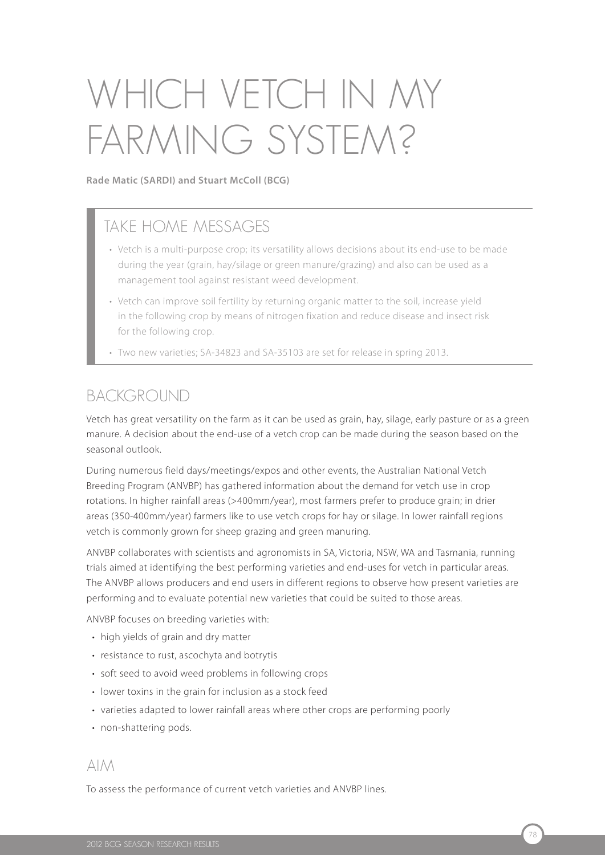# Which vetch in my FARMING SYSTEM?

**Rade Matic (SARDI) and Stuart McColl (BCG)**

# TAKE HOME MESSAGES

- Vetch is a multi-purpose crop; its versatility allows decisions about its end-use to be made during the year (grain, hay/silage or green manure/grazing) and also can be used as a management tool against resistant weed development.
- Vetch can improve soil fertility by returning organic matter to the soil, increase yield in the following crop by means of nitrogen fixation and reduce disease and insect risk for the following crop.
- Two new varieties; SA-34823 and SA-35103 are set for release in spring 2013.

## BACKGROUND

Vetch has great versatility on the farm as it can be used as grain, hay, silage, early pasture or as a green manure. A decision about the end-use of a vetch crop can be made during the season based on the seasonal outlook.

During numerous field days/meetings/expos and other events, the Australian National Vetch Breeding Program (ANVBP) has gathered information about the demand for vetch use in crop rotations. In higher rainfall areas (>400mm/year), most farmers prefer to produce grain; in drier areas (350-400mm/year) farmers like to use vetch crops for hay or silage. In lower rainfall regions vetch is commonly grown for sheep grazing and green manuring.

ANVBP collaborates with scientists and agronomists in SA, Victoria, NSW, WA and Tasmania, running trials aimed at identifying the best performing varieties and end-uses for vetch in particular areas. The ANVBP allows producers and end users in different regions to observe how present varieties are performing and to evaluate potential new varieties that could be suited to those areas.

ANVBP focuses on breeding varieties with:

- high yields of grain and dry matter
- resistance to rust, ascochyta and botrytis
- soft seed to avoid weed problems in following crops
- lower toxins in the grain for inclusion as a stock feed
- varieties adapted to lower rainfall areas where other crops are performing poorly
- non-shattering pods.

## Aim

To assess the performance of current vetch varieties and ANVBP lines.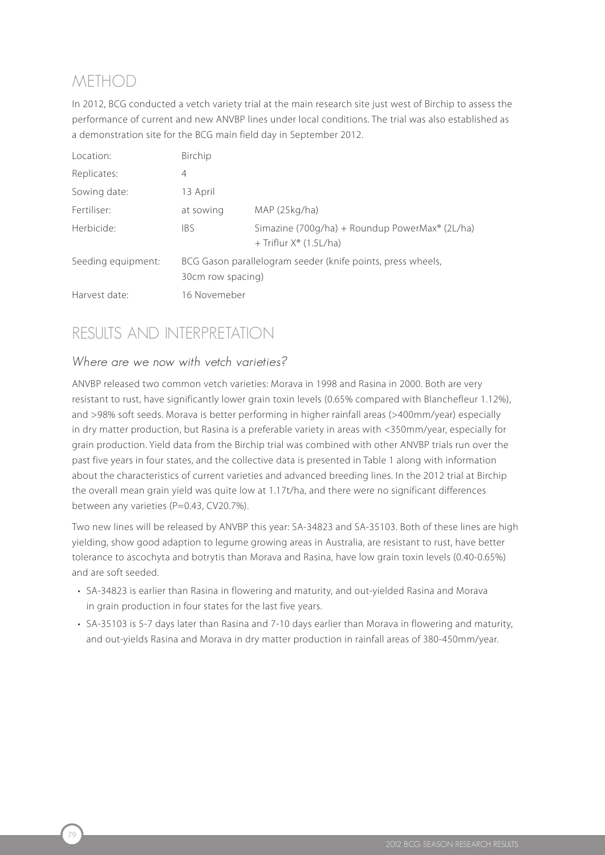# **METHOD**

79

In 2012, BCG conducted a vetch variety trial at the main research site just west of Birchip to assess the performance of current and new ANVBP lines under local conditions. The trial was also established as a demonstration site for the BCG main field day in September 2012.

| Location:          | Birchip                                                                          |                                                                                               |  |  |
|--------------------|----------------------------------------------------------------------------------|-----------------------------------------------------------------------------------------------|--|--|
| Replicates:        | $\overline{4}$                                                                   |                                                                                               |  |  |
| Sowing date:       | 13 April                                                                         |                                                                                               |  |  |
| Fertiliser:        | at sowing                                                                        | MAP (25kg/ha)                                                                                 |  |  |
| Herbicide:         | <b>IBS</b>                                                                       | Simazine (700g/ha) + Roundup PowerMax <sup>®</sup> (2L/ha)<br>+ Triflur $X^{\circ}$ (1.5L/ha) |  |  |
| Seeding equipment: | BCG Gason parallelogram seeder (knife points, press wheels,<br>30cm row spacing) |                                                                                               |  |  |
| Harvest date:      | 16 Novemeber                                                                     |                                                                                               |  |  |

# RESUITS AND INTERPRETATION

## Where are we now with vetch varieties?

ANVBP released two common vetch varieties: Morava in 1998 and Rasina in 2000. Both are very resistant to rust, have significantly lower grain toxin levels (0.65% compared with Blanchefleur 1.12%), and >98% soft seeds. Morava is better performing in higher rainfall areas (>400mm/year) especially in dry matter production, but Rasina is a preferable variety in areas with <350mm/year, especially for grain production. Yield data from the Birchip trial was combined with other ANVBP trials run over the past five years in four states, and the collective data is presented in Table 1 along with information about the characteristics of current varieties and advanced breeding lines. In the 2012 trial at Birchip the overall mean grain yield was quite low at 1.17t/ha, and there were no significant differences between any varieties (P=0.43, CV20.7%).

Two new lines will be released by ANVBP this year: SA-34823 and SA-35103. Both of these lines are high yielding, show good adaption to legume growing areas in Australia, are resistant to rust, have better tolerance to ascochyta and botrytis than Morava and Rasina, have low grain toxin levels (0.40-0.65%) and are soft seeded.

- SA-34823 is earlier than Rasina in flowering and maturity, and out-yielded Rasina and Morava in grain production in four states for the last five years.
- SA-35103 is 5-7 days later than Rasina and 7-10 days earlier than Morava in flowering and maturity, and out-yields Rasina and Morava in dry matter production in rainfall areas of 380-450mm/year.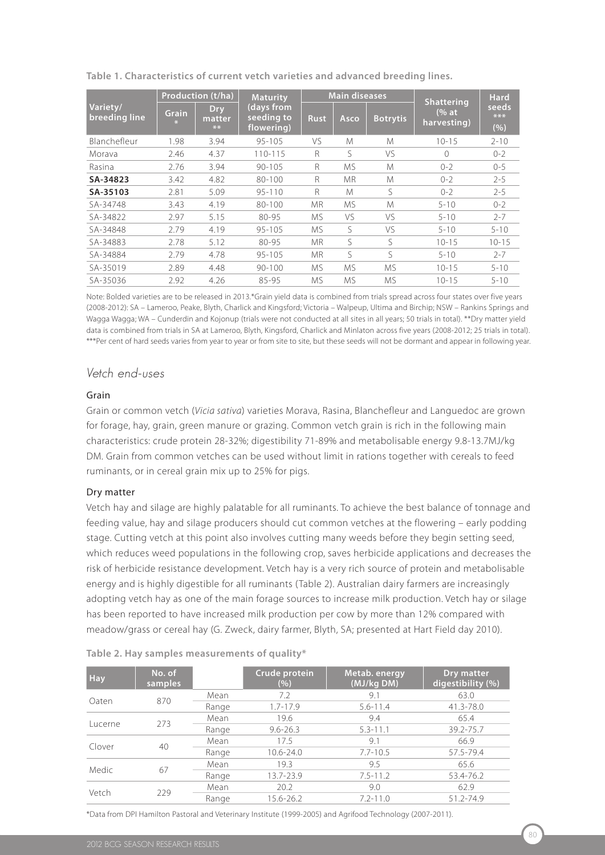|                           | Production (t/ha) |                              | <b>Maturity</b>                        | <b>Main diseases</b> |             |                 | <b>Shattering</b>                             | <b>Hard</b>           |  |
|---------------------------|-------------------|------------------------------|----------------------------------------|----------------------|-------------|-----------------|-----------------------------------------------|-----------------------|--|
| Variety/<br>breeding line | <b>Grain</b>      | <b>Dry</b><br>matter<br>$**$ | (days from<br>seeding to<br>flowering) | <b>Rust</b>          | Asco        | <b>Botrytis</b> | $\frac{1}{2}$ of $\frac{1}{2}$<br>harvesting) | seeds<br>$***$<br>(%) |  |
| Blanchefleur              | 1.98              | 3.94                         | $95 - 105$                             | VS                   | M           | M               | $10 - 15$                                     | $2 - 10$              |  |
| Morava                    | 2.46              | 4.37                         | 110-115                                | R                    | ς           | VS              | $\Omega$                                      | $0 - 2$               |  |
| Rasina                    | 2.76              | 3.94                         | $90 - 105$                             | $\mathsf{R}$         | <b>MS</b>   | M               | $0 - 2$                                       | $0 - 5$               |  |
| SA-34823                  | 3.42              | 4.82                         | $80 - 100$                             | R                    | <b>MR</b>   | M               | $0 - 2$                                       | $2 - 5$               |  |
| SA-35103                  | 2.81              | 5.09                         | $95 - 110$                             | R                    | M           | S               | $0 - 2$                                       | $2 - 5$               |  |
| SA-34748                  | 3.43              | 4.19                         | $80 - 100$                             | <b>MR</b>            | <b>MS</b>   | M               | $5 - 10$                                      | $0 - 2$               |  |
| SA-34822                  | 2.97              | 5.15                         | 80-95                                  | <b>MS</b>            | VS          | VS.             | $5 - 10$                                      | $2 - 7$               |  |
| SA-34848                  | 2.79              | 4.19                         | $95 - 105$                             | <b>MS</b>            | S           | VS              | $5 - 10$                                      | $5 - 10$              |  |
| SA-34883                  | 2.78              | 5.12                         | 80-95                                  | <b>MR</b>            | $\varsigma$ | S               | $10 - 15$                                     | $10 - 15$             |  |
| SA-34884                  | 2.79              | 4.78                         | $95 - 105$                             | <b>MR</b>            | S           | ς               | $5 - 10$                                      | $2 - 7$               |  |
| SA-35019                  | 2.89              | 4.48                         | $90 - 100$                             | <b>MS</b>            | <b>MS</b>   | <b>MS</b>       | $10 - 15$                                     | $5 - 10$              |  |
| SA-35036                  | 2.92              | 4.26                         | 85-95                                  | <b>MS</b>            | MS.         | МS              | $10 - 15$                                     | $5 - 10$              |  |

**Table 1. Characteristics of current vetch varieties and advanced breeding lines.**

Note: Bolded varieties are to be released in 2013.\*Grain yield data is combined from trials spread across four states over five years (2008-2012): SA – Lameroo, Peake, Blyth, Charlick and Kingsford; Victoria – Walpeup, Ultima and Birchip; NSW – Rankins Springs and Wagga Wagga; WA – Cunderdin and Kojonup (trials were not conducted at all sites in all years; 50 trials in total). \*\*Dry matter yield data is combined from trials in SA at Lameroo, Blyth, Kingsford, Charlick and Minlaton across five years (2008-2012; 25 trials in total). \*\*\*Per cent of hard seeds varies from year to year or from site to site, but these seeds will not be dormant and appear in following year.

## Vetch end-uses

#### Grain

Grain or common vetch (*Vicia sativa*) varieties Morava, Rasina, Blanchefleur and Languedoc are grown for forage, hay, grain, green manure or grazing. Common vetch grain is rich in the following main characteristics: crude protein 28-32%; digestibility 71-89% and metabolisable energy 9.8-13.7MJ/kg DM. Grain from common vetches can be used without limit in rations together with cereals to feed ruminants, or in cereal grain mix up to 25% for pigs.

#### Dry matter

Vetch hay and silage are highly palatable for all ruminants. To achieve the best balance of tonnage and feeding value, hay and silage producers should cut common vetches at the flowering – early podding stage. Cutting vetch at this point also involves cutting many weeds before they begin setting seed, which reduces weed populations in the following crop, saves herbicide applications and decreases the risk of herbicide resistance development. Vetch hay is a very rich source of protein and metabolisable energy and is highly digestible for all ruminants (Table 2). Australian dairy farmers are increasingly adopting vetch hay as one of the main forage sources to increase milk production. Vetch hay or silage has been reported to have increased milk production per cow by more than 12% compared with meadow/grass or cereal hay (G. Zweck, dairy farmer, Blyth, SA; presented at Hart Field day 2010).

| <b>Hay</b> | No. of<br>samples |       | Crude protein<br>(%) | Metab. energy<br>(MJ/kg DM) | Dry matter<br>digestibility (%) |
|------------|-------------------|-------|----------------------|-----------------------------|---------------------------------|
| Oaten      | 870               | Mean  | 7.2                  | 9.1                         | 63.0                            |
|            |                   | Range | $1.7 - 17.9$         | $5.6 - 11.4$                | 41.3-78.0                       |
| Lucerne    | 273               | Mean  | 19.6                 | 9.4                         | 65.4                            |
|            |                   | Range | $9.6 - 26.3$         | $5.3 - 11.1$                | 39.2-75.7                       |
| Clover     | 40                | Mean  | 17.5                 | 9.1                         | 66.9                            |
|            |                   | Range | 10.6-24.0            | $7.7 - 10.5$                | 57.5-79.4                       |
| Medic      |                   | Mean  | 19.3                 | 9.5                         | 65.6                            |
|            | 67                | Range | 13.7-23.9            | $7.5 - 11.2$                | 53.4-76.2                       |
| Vetch      | 229               | Mean  | 20.2                 | 9.0                         | 62.9                            |
|            |                   | Range | 15.6-26.2            | $7.2 - 11.0$                | $51.2 - 74.9$                   |

|  |  |  | Table 2. Hay samples measurements of quality* |  |  |  |
|--|--|--|-----------------------------------------------|--|--|--|
|--|--|--|-----------------------------------------------|--|--|--|

\*Data from DPI Hamilton Pastoral and Veterinary Institute (1999-2005) and Agrifood Technology (2007-2011).